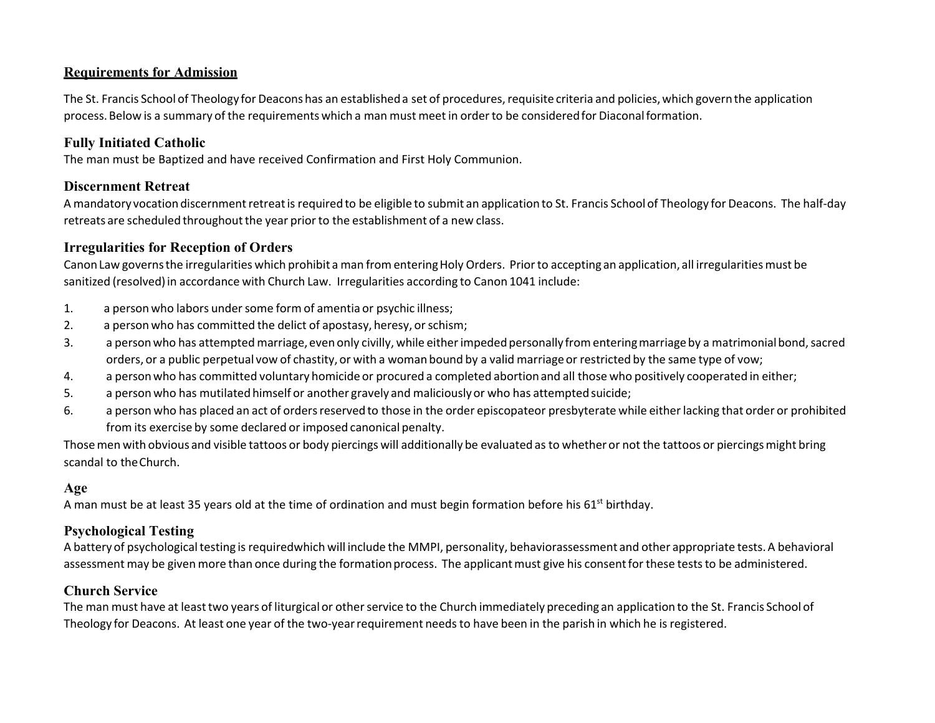### **Requirements for Admission**

The St. Francis School of Theology for Deacons has an established a set of procedures, requisite criteria and policies, which govern the application process.Below is a summary of the requirements which a man must meet in orderto be consideredfor Diaconalformation.

### **Fully Initiated Catholic**

The man must be Baptized and have received Confirmation and First Holy Communion.

#### **Discernment Retreat**

A mandatory vocationdiscernmentretreatis requiredto be eligible to submit an application to St. Francis Schoolof Theology for Deacons. The half‐day retreats are scheduled throughoutthe year priorto the establishment of a new class.

#### **Irregularities for Reception of Orders**

CanonLaw governsthe irregularities which prohibit a man fromenteringHoly Orders. Priorto accepting an application, all irregularities must be sanitized (resolved)in accordance with Church Law. Irregularities according to Canon 1041 include:

- 1. a personwho labors undersome form of amentia or psychic illness;
- 2. a person who has committed the delict of apostasy, heresy, or schism;
- 3. a personwho has attempted marriage, even only civilly, while eitherimpededpersonally fromenteringmarriageby a matrimonialbond,sacred orders, or a public perpetual vow of chastity, or with a woman bound by a valid marriageor restricted by the same type of vow;
- 4. a personwho has committed voluntary homicide or procured a completed abortionand all those who positively cooperated in either;
- 5. a personwho has mutilatedhimself or another gravely and maliciouslyor who has attemptedsuicide;
- 6. a person who has placed an act of ordersreservedto those in the order episcopateor presbyterate while eitherlacking that order or prohibited from its exercise by some declared or imposed canonical penalty.

Thosemen with obvious and visible tattoos or body piercings will additionally be evaluatedas to whether or not the tattoos or piercingsmight bring scandal to theChurch.

#### **Age**

A man must be at least 35 years old at the time of ordination and must begin formation before his 61<sup>st</sup> birthday.

# **Psychological Testing**

A battery of psychological testing is requiredwhich will include the MMPI, personality, behaviorassessment and other appropriate tests. A behavioral assessment may be given more than once during the formation process. The applicant must give his consent for these tests to be administered.

### **Church Service**

The man must have at least two years of liturgical or other service to the Church immediately preceding an application to the St. Francis School of Theology for Deacons. At least one year of the two‐yearrequirement needsto have been in the parish in which he is registered.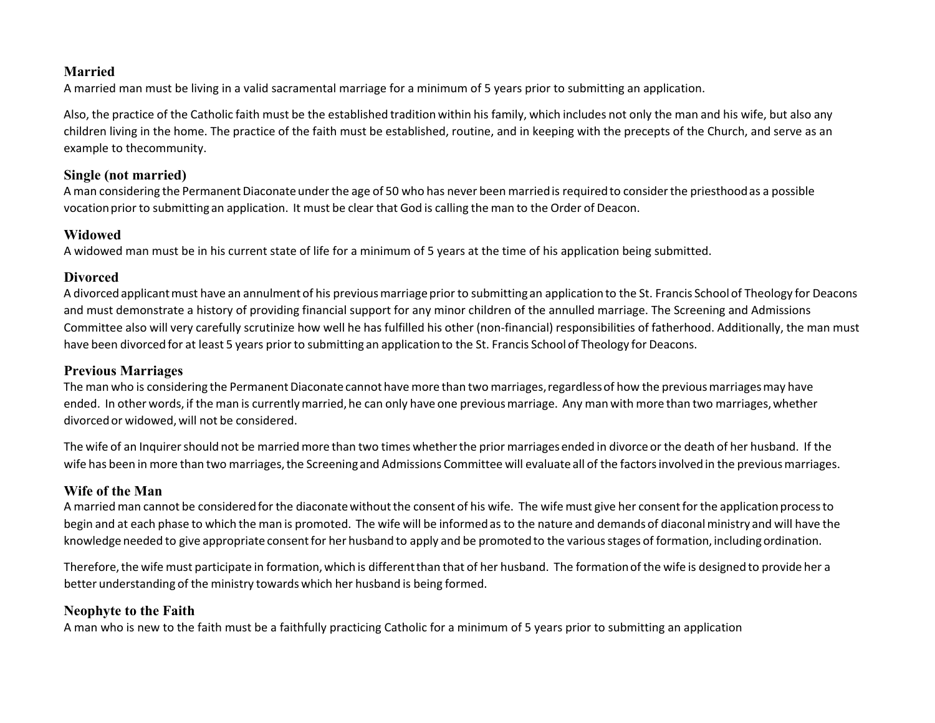### **Married**

A married man must be living in a valid sacramental marriage for a minimum of 5 years prior to submitting an application.

Also, the practice of the Catholic faith must be the established traditionwithin his family, which includes not only the man and his wife, but also any children living in the home. The practice of the faith must be established, routine, and in keeping with the precepts of the Church, and serve as an example to thecommunity.

#### **Single (not married)**

A man considering the PermanentDiaconateunderthe age of 50 who has never been marriedis requiredto considerthe priesthoodas a possible vocationprior to submitting an application. It must be clear that God is calling the man to the Order of Deacon.

### **Widowed**

A widowed man must be in his current state of life for a minimum of 5 years at the time of his application being submitted.

### **Divorced**

A divorcedapplicantmust have an annulmentof his previousmarriage prior to submitting an applicationto the St. Francis School of Theology for Deacons and must demonstrate a history of providing financial support for any minor children of the annulled marriage. The Screening and Admissions Committee also will very carefully scrutinize how well he has fulfilled his other (non‐financial) responsibilities of fatherhood. Additionally, the man must have been divorced for at least 5 years prior to submitting an application to the St. Francis School of Theology for Deacons.

# **Previous Marriages**

The man who is considering the Permanent Diaconate cannot have more than two marriages, regardless of how the previous marriages may have ended. In other words, if the man is currently married, he can only have one previous marriage. Any man with more than two marriages, whether divorcedor widowed,will not be considered.

The wife of an Inquirer should not be married more than two times whether the prior marriages ended in divorce or the death of her husband. If the wife has been in more than two marriages, the Screening and Admissions Committee will evaluate all of the factors involved in the previous marriages.

### **Wife of the Man**

A married man cannot be considered for the diaconate without the consent of his wife. The wife must give her consent for the application process to begin and at each phase to which the man is promoted. The wife will be informedas to the nature and demands of diaconalministry and will have the knowledge needed to give appropriate consent for her husband to apply and be promoted to the various stages of formation, including ordination.

Therefore,the wife must participate in formation,which is differentthan that of her husband. The formationof the wife is designed to provide her a better understanding of the ministry towards which her husband is being formed.

# **Neophyte to the Faith**

A man who is new to the faith must be a faithfully practicing Catholic for a minimum of 5 years prior to submitting an application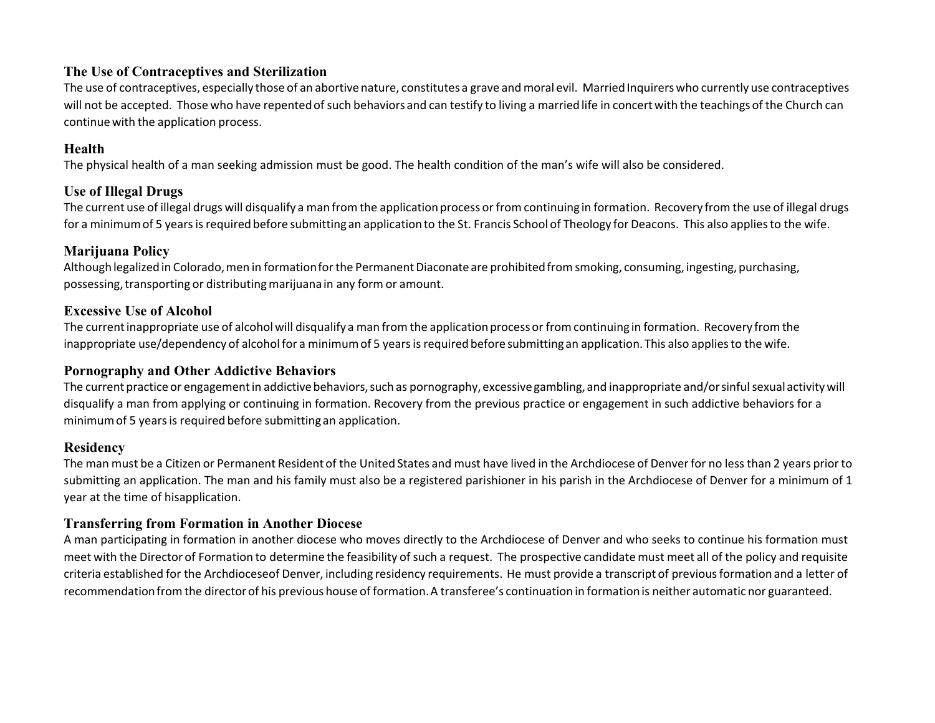### **The Use of Contraceptives and Sterilization**

The use of contraceptives, especially those of an abortive nature, constitutes a grave and moral evil. Married Inquirers who currently use contraceptives will not be accepted. Those who have repented of such behaviors and can testify to living a married life in concert with the teachings of the Church can continue with the application process.

### **Health**

The physical health of a man seeking admission must be good. The health condition of the man's wife will also be considered.

# **Use of Illegal Drugs**

The current use of illegal drugs will disqualify a man from the application process or from continuing in formation. Recovery from the use of illegal drugs for a minimum of 5 years is required before submitting an application to the St. Francis School of Theology for Deacons. This also applies to the wife.

# **Marijuana Policy**

Although legalized in Colorado, men in formation for the Permanent Diaconate are prohibited from smoking, consuming, ingesting, purchasing, possessing, transporting or distributing marijuana in any form or amount.

# **Excessive Use of Alcohol**

The current inappropriate use of alcohol will disqualify a man from the application process or from continuing in formation. Recovery from the inappropriate use/dependency of alcohol for a minimum of 5 years is required before submitting an application. This also applies to the wife.

# **Pornography and Other Addictive Behaviors**

The current practice or engagement in addictive behaviors, such as pornography, excessive gambling, and inappropriate and/or sinful sexual activity will disqualify a man from applying or continuing in formation. Recovery from the previous practice or engagement in such addictive behaviors for a minimumof 5 yearsis required before submitting an application.

# **Residency**

The man must be a Citizen or Permanent Resident of the United States and must have lived in the Archdiocese of Denverfor no less than 2 years prior to submitting an application. The man and his family must also be a registered parishioner in his parish in the Archdiocese of Denver for a minimum of 1 year at the time of hisapplication.

# **Transferring from Formation in Another Diocese**

A man participating in formation in another diocese who moves directly to the Archdiocese of Denver and who seeks to continue his formation must meet with the Director of Formation to determine the feasibility of such a request. The prospective candidate must meet all of the policy and requisite criteria established for the Archdioceseof Denver, including residency requirements. He must provide a transcript of previousformation and a letter of recommendationfrom the directorof his previous house of formation.A transferee's continuation in formationis neither automatic nor guaranteed.